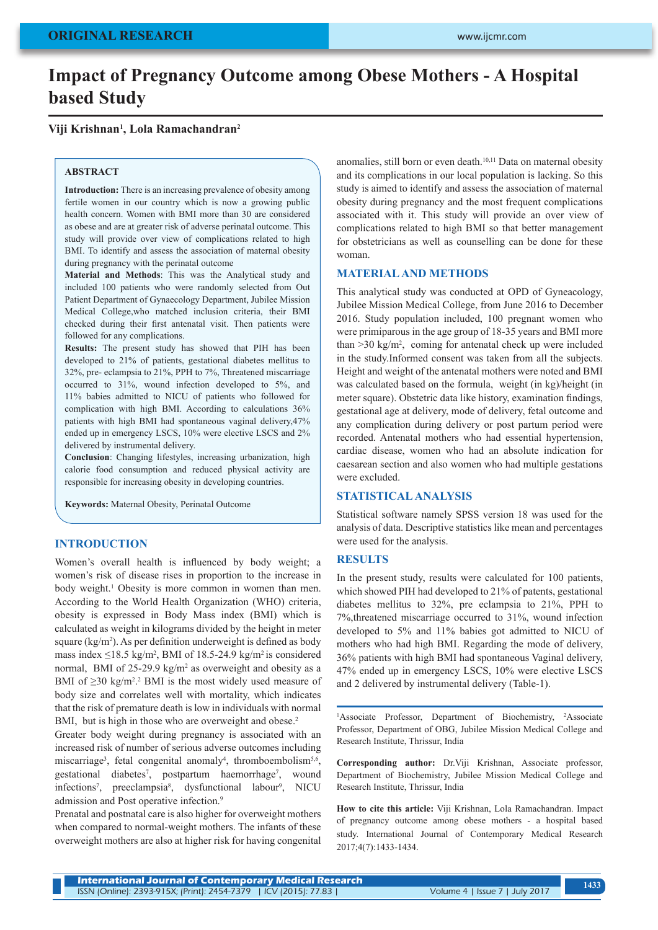# **Impact of Pregnancy Outcome among Obese Mothers - A Hospital based Study**

#### **Viji Krishnan1 , Lola Ramachandran2**

#### **ABSTRACT**

**Introduction:** There is an increasing prevalence of obesity among fertile women in our country which is now a growing public health concern. Women with BMI more than 30 are considered as obese and are at greater risk of adverse perinatal outcome. This study will provide over view of complications related to high BMI. To identify and assess the association of maternal obesity during pregnancy with the perinatal outcome

**Material and Methods**: This was the Analytical study and included 100 patients who were randomly selected from Out Patient Department of Gynaecology Department, Jubilee Mission Medical College,who matched inclusion criteria, their BMI checked during their first antenatal visit. Then patients were followed for any complications.

**Results:** The present study has showed that PIH has been developed to 21% of patients, gestational diabetes mellitus to 32%, pre- eclampsia to 21%, PPH to 7%, Threatened miscarriage occurred to 31%, wound infection developed to 5%, and 11% babies admitted to NICU of patients who followed for complication with high BMI. According to calculations 36% patients with high BMI had spontaneous vaginal delivery,47% ended up in emergency LSCS, 10% were elective LSCS and 2% delivered by instrumental delivery.

**Conclusion**: Changing lifestyles, increasing urbanization, high calorie food consumption and reduced physical activity are responsible for increasing obesity in developing countries.

**Keywords:** Maternal Obesity, Perinatal Outcome

#### **INTRODUCTION**

Women's overall health is influenced by body weight; a women's risk of disease rises in proportion to the increase in body weight.<sup>1</sup> Obesity is more common in women than men. According to the World Health Organization (WHO) criteria, obesity is expressed in Body Mass index (BMI) which is calculated as weight in kilograms divided by the height in meter square (kg/m<sup>2</sup>). As per definition underweight is defined as body mass index  $\leq$ 18.5 kg/m<sup>2</sup>, BMI of 18.5-24.9 kg/m<sup>2</sup> is considered normal, BMI of 25-29.9 kg/m<sup>2</sup> as overweight and obesity as a BMI of  $\geq$ 30 kg/m<sup>2,2</sup> BMI is the most widely used measure of body size and correlates well with mortality, which indicates that the risk of premature death is low in individuals with normal BMI, but is high in those who are overweight and obese.<sup>2</sup>

Greater body weight during pregnancy is associated with an increased risk of number of serious adverse outcomes including miscarriage<sup>3</sup>, fetal congenital anomaly<sup>4</sup>, thromboembolism<sup>5,6</sup>, gestational diabetes<sup>7</sup>, postpartum haemorrhage<sup>7</sup> , wound infections<sup>7</sup>, preeclampsia<sup>8</sup>, dysfunctional labour<sup>9</sup>, NICU admission and Post operative infection.<sup>9</sup>

Prenatal and postnatal care is also higher for overweight mothers when compared to normal-weight mothers. The infants of these overweight mothers are also at higher risk for having congenital anomalies, still born or even death.<sup>10,11</sup> Data on maternal obesity and its complications in our local population is lacking. So this study is aimed to identify and assess the association of maternal obesity during pregnancy and the most frequent complications associated with it. This study will provide an over view of complications related to high BMI so that better management for obstetricians as well as counselling can be done for these woman.

#### **MATERIAL AND METHODS**

This analytical study was conducted at OPD of Gyneacology, Jubilee Mission Medical College, from June 2016 to December 2016. Study population included, 100 pregnant women who were primiparous in the age group of 18-35 years and BMI more than >30 kg/m2 , coming for antenatal check up were included in the study.Informed consent was taken from all the subjects. Height and weight of the antenatal mothers were noted and BMI was calculated based on the formula, weight (in kg)/height (in meter square). Obstetric data like history, examination findings, gestational age at delivery, mode of delivery, fetal outcome and any complication during delivery or post partum period were recorded. Antenatal mothers who had essential hypertension, cardiac disease, women who had an absolute indication for caesarean section and also women who had multiple gestations were excluded.

#### **STATISTICAL ANALYSIS**

Statistical software namely SPSS version 18 was used for the analysis of data. Descriptive statistics like mean and percentages were used for the analysis.

#### **RESULTS**

In the present study, results were calculated for 100 patients, which showed PIH had developed to 21% of patents, gestational diabetes mellitus to 32%, pre eclampsia to 21%, PPH to 7%,threatened miscarriage occurred to 31%, wound infection developed to 5% and 11% babies got admitted to NICU of mothers who had high BMI. Regarding the mode of delivery, 36% patients with high BMI had spontaneous Vaginal delivery, 47% ended up in emergency LSCS, 10% were elective LSCS and 2 delivered by instrumental delivery (Table-1).

<sup>1</sup>Associate Professor, Department of Biochemistry, <sup>2</sup>Associate Professor, Department of OBG, Jubilee Mission Medical College and Research Institute, Thrissur, India

**Corresponding author:** Dr.Viji Krishnan, Associate professor, Department of Biochemistry, Jubilee Mission Medical College and Research Institute, Thrissur, India

**How to cite this article:** Viji Krishnan, Lola Ramachandran. Impact of pregnancy outcome among obese mothers - a hospital based study. International Journal of Contemporary Medical Research 2017;4(7):1433-1434.